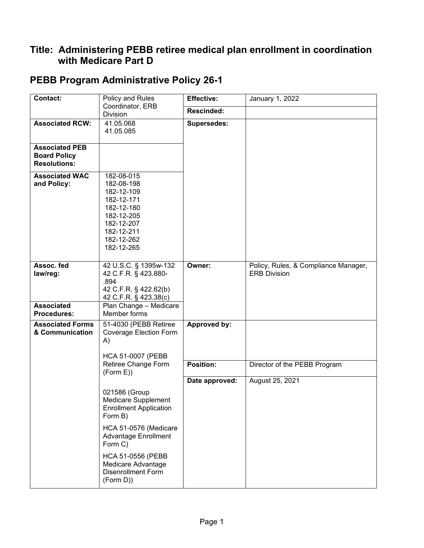## **Title: Administering PEBB retiree medical plan enrollment in coordination with Medicare Part D**

| <b>Contact:</b>                                                     | Policy and Rules                                                                                                                         | <b>Effective:</b>  | January 1, 2022                                             |
|---------------------------------------------------------------------|------------------------------------------------------------------------------------------------------------------------------------------|--------------------|-------------------------------------------------------------|
|                                                                     | Coordinator, ERB<br>Division                                                                                                             | Rescinded:         |                                                             |
| <b>Associated RCW:</b>                                              | 41.05.068<br>41.05.085                                                                                                                   | <b>Supersedes:</b> |                                                             |
| <b>Associated PEB</b><br><b>Board Policy</b><br><b>Resolutions:</b> |                                                                                                                                          |                    |                                                             |
| <b>Associated WAC</b><br>and Policy:                                | 182-08-015<br>182-08-198<br>182-12-109<br>182-12-171<br>182-12-180<br>182-12-205<br>182-12-207<br>182-12-211<br>182-12-262<br>182-12-265 |                    |                                                             |
| Assoc. fed<br>law/reg:                                              | 42 U.S.C. § 1395w-132<br>42 C.F.R. § 423.880-<br>.894<br>42 C.F.R. § 422.62(b)<br>42 C.F.R. § 423.38(c)                                  | Owner:             | Policy, Rules, & Compliance Manager,<br><b>ERB Division</b> |
| <b>Associated</b><br><b>Procedures:</b>                             | Plan Change - Medicare<br>Member forms                                                                                                   |                    |                                                             |
| <b>Associated Forms</b><br>& Communication                          | 51-4030 (PEBB Retiree<br><b>Coverage Election Form</b><br>A)<br><b>HCA 51-0007 (PEBB)</b>                                                | Approved by:       |                                                             |
|                                                                     | Retiree Change Form<br>(Form E))                                                                                                         | <b>Position:</b>   | Director of the PEBB Program                                |
|                                                                     |                                                                                                                                          | Date approved:     | August 25, 2021                                             |
|                                                                     | 021586 (Group<br>Medicare Supplement<br><b>Enrollment Application</b><br>Form B)                                                         |                    |                                                             |
|                                                                     | HCA 51-0576 (Medicare<br>Advantage Enrollment<br>Form C)                                                                                 |                    |                                                             |
|                                                                     | HCA 51-0556 (PEBB<br>Medicare Advantage<br><b>Disenrollment Form</b><br>(Form D))                                                        |                    |                                                             |

## **PEBB Program Administrative Policy 26-1**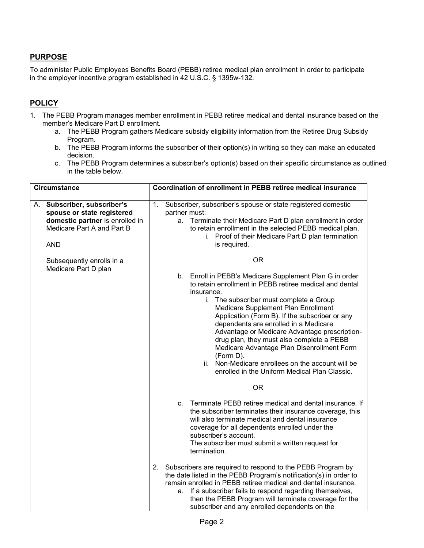## **PURPOSE**

To administer Public Employees Benefits Board (PEBB) retiree medical plan enrollment in order to participate in the employer incentive program established in 42 U.S.C. § 1395w-132.

## **POLICY**

- 1. The PEBB Program manages member enrollment in PEBB retiree medical and dental insurance based on the member's Medicare Part D enrollment.
	- a. The PEBB Program gathers Medicare subsidy eligibility information from the Retiree Drug Subsidy Program.
	- b. The PEBB Program informs the subscriber of their option(s) in writing so they can make an educated decision.
	- c. The PEBB Program determines a subscriber's option(s) based on their specific circumstance as outlined in the table below.

| <b>Circumstance</b> |                                                                                                                                          | Coordination of enrollment in PEBB retiree medical insurance                                                                                                                                                                                                                           |  |                                                                                                                                                                                                                                                                                                                                                                                                                                                                                                                                                                                 |
|---------------------|------------------------------------------------------------------------------------------------------------------------------------------|----------------------------------------------------------------------------------------------------------------------------------------------------------------------------------------------------------------------------------------------------------------------------------------|--|---------------------------------------------------------------------------------------------------------------------------------------------------------------------------------------------------------------------------------------------------------------------------------------------------------------------------------------------------------------------------------------------------------------------------------------------------------------------------------------------------------------------------------------------------------------------------------|
|                     | A. Subscriber, subscriber's<br>spouse or state registered<br>domestic partner is enrolled in<br>Medicare Part A and Part B<br><b>AND</b> | Subscriber, subscriber's spouse or state registered domestic<br>1.<br>partner must:<br>Terminate their Medicare Part D plan enrollment in order<br>a.<br>to retain enrollment in the selected PEBB medical plan.<br>i. Proof of their Medicare Part D plan termination<br>is required. |  |                                                                                                                                                                                                                                                                                                                                                                                                                                                                                                                                                                                 |
|                     | Subsequently enrolls in a<br>Medicare Part D plan                                                                                        |                                                                                                                                                                                                                                                                                        |  | <b>OR</b>                                                                                                                                                                                                                                                                                                                                                                                                                                                                                                                                                                       |
|                     |                                                                                                                                          |                                                                                                                                                                                                                                                                                        |  | b. Enroll in PEBB's Medicare Supplement Plan G in order<br>to retain enrollment in PEBB retiree medical and dental<br>insurance.<br>i. The subscriber must complete a Group<br>Medicare Supplement Plan Enrollment<br>Application (Form B). If the subscriber or any<br>dependents are enrolled in a Medicare<br>Advantage or Medicare Advantage prescription-<br>drug plan, they must also complete a PEBB<br>Medicare Advantage Plan Disenrollment Form<br>(Form D).<br>Non-Medicare enrollees on the account will be<br>ii.<br>enrolled in the Uniform Medical Plan Classic. |
|                     |                                                                                                                                          |                                                                                                                                                                                                                                                                                        |  | 0R                                                                                                                                                                                                                                                                                                                                                                                                                                                                                                                                                                              |
|                     |                                                                                                                                          |                                                                                                                                                                                                                                                                                        |  | c. Terminate PEBB retiree medical and dental insurance. If<br>the subscriber terminates their insurance coverage, this<br>will also terminate medical and dental insurance<br>coverage for all dependents enrolled under the<br>subscriber's account.<br>The subscriber must submit a written request for<br>termination.                                                                                                                                                                                                                                                       |
|                     |                                                                                                                                          | 2.                                                                                                                                                                                                                                                                                     |  | Subscribers are required to respond to the PEBB Program by<br>the date listed in the PEBB Program's notification(s) in order to<br>remain enrolled in PEBB retiree medical and dental insurance.<br>a. If a subscriber fails to respond regarding themselves,<br>then the PEBB Program will terminate coverage for the<br>subscriber and any enrolled dependents on the                                                                                                                                                                                                         |